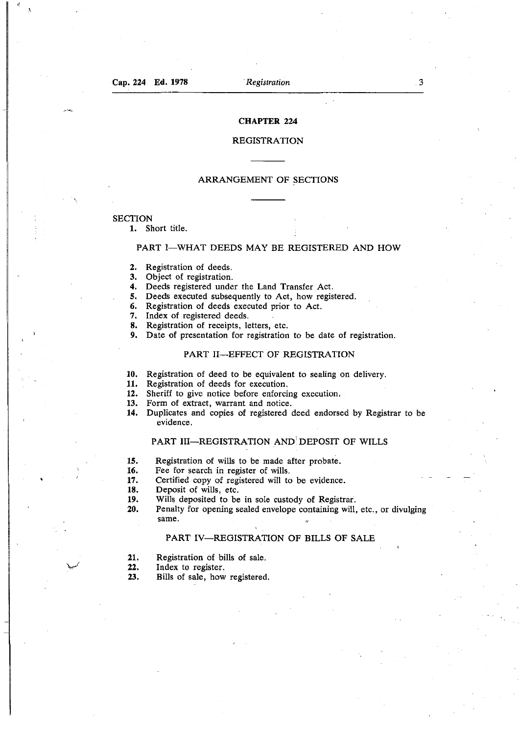'.

### CHAPTER 224

### REGISTRATION

### ARRANGEMENT OF SECTIONS

### **SECTION**

1. Short title.

### PART I-WHAT DEEDS MAY BE REGISTERED AND HOW

2. Registration of deeds.<br>3. Object of registration.

3. Object of registration.<br>4. Deeds registered unde

- Deeds registered under the Land Transfer Act.
- 5. Deeds executed subsequently to Act, how registered.
- 6. Registration of deeds executed prior to Act.
- 7. Index of registered deeds.
- **S. Registration of receipts, letters, etc.**
- 9. Date of presentation for registration to be date of registration.

### PART II-EFFECT OF REGISTRATION

- 10. Registration of deed to be equivalent to sealing on delivery.
- 11. Registration of deeds for execution.
- 12. Sheriff to give notice before enforcing execution.
- **13. Form of extract, warrant and notice.**
- 14. Duplicates and copies of registered deed endorsed by Registrar to be **evidence.**

### PART III-REGISTRATION AND<sup>1</sup> DEPOSIT OF WILLS

- 15. Registration of wills to be made after probate.
- 16. Fee for search in register of wills.
- 17. Certified copy of registered will to be evidence.
- 18. Deposit of wills, etc.
- 19. Wills deposited to be in sole custody of Registrar.
- 20. Penalty for opening sealed envelope containing will, etc., or divulging **same.**

## PART IV-REGISTRATION OF BILLS OF SALE

- 21. Registration of bills of sale.
- 22. Index to register.
- 23. Bills of sale, how registered.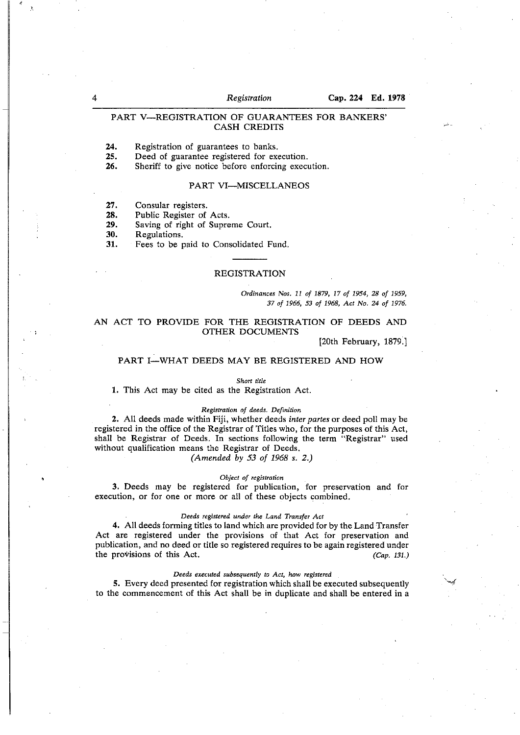### PART V-REGISTRATION OF GUARANTEES FOR BANKERS' CASH CREDITS

24. Registration of guarantees to banks.<br>25. Deed of guarantee registered for ex-

25. Deed of guarantee registered for execution.<br>26. Sheriff to give notice before enforcing execu

Sheriff to give notice before enforcing execution.

### PART VI-MISCELLANEOS

27. Consular registers.<br>28. Public Register of

28. Public Register of Acts.<br>29. Saving of right of Supre

29. Saving of right of Supreme Court.<br>30. Regulations.

30. Regulations.<br>31. Fees to be r

Fees to be paid to Consolidated Fund.

### REGISTRATION

*Ordinances Nos,* 11 *of* **1879, 17** *of* **1954, 28** *of 1959, 37 of* 1966, 53 *of* 1968, *Act No.* 24 *of 1976.* 

### AN ACT TO PROVIDE FOR THE REGISTRATION OF DEEDS AND OTHER DOCUMENTS

[20th February, 1879.J

### PART I-WHAT DEEDS MAY BE REGISTERED AND HOW

#### *Short title*

1. This Act may be cited as the Registration Act.

#### *Registration of deeds. Definition*

2. All deeds made within Fiji, whether deeds *inter partes* or deed poll may be registered in the office of the Registrar of Titles who, for the purposes of this Act, shall be Registrar of Deeds. In sections following the term "Registrar" used without qualification means the Registrar of Deeds.

*(Amended by* 53 *of* 1968 s. 2.)

### *Object of registration*

3. Deeds may be registered for publication, for preservation and for execution, or for one or more or all of these objects combined.

#### *Deeds registered under the Land Transfer Act*

4. All deeds forming titles to land which are provided for by the Land Transfer Act are registered under the provisions of that Act for preservation and publication, and no deed or title so registered requires to be again registered umler the provisions of this Act. *(Cap. 131.)* 

#### *Deeds executed subsequently to Act, how registered*

5. Every deed presented for registration which shall be executed subsequently to the commencement of this Act shall be in duplicate and shall be entered in a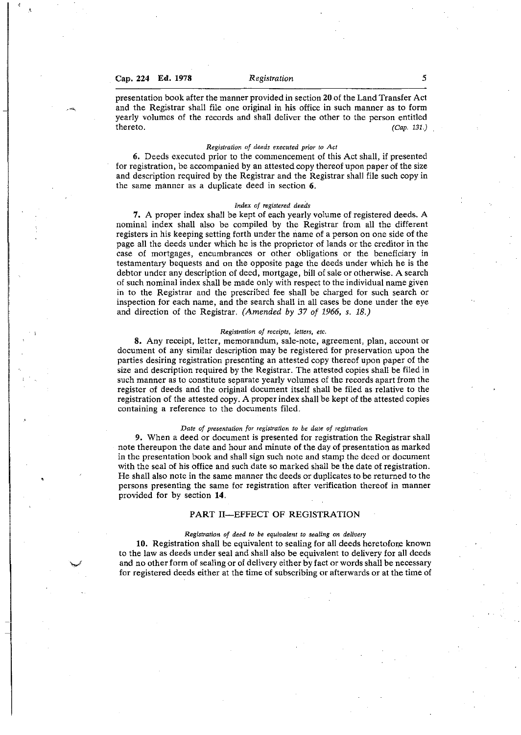Cap. 224 Ed. 1978 *Registration* 5

presentation book after the manner provided in section 20.of the Land Transfer Act and the Registrar shall file one original in his office in such manner as to form yearly volumes of the records and shall deliver the other to the person entitled thereto. *(Cap. 131.)* 

#### *Registration of deeds executed prior to Act*

6. Deeds executed prior to the commencement of this Act shall, if presented for registration, be accompanied by an attested copy thereof upon paper of the size and description required by the Registrar and the Registrar shall file such copy in **the same manner as a duplicate deed in section 6.** 

#### *Index of registered deeds*

7. A proper index shall be kept of each yearly volume of registered deeds. A nominal index shall also be compiled by the Registrar from all the different registers in his keeping setting forth under the name of a person on one side of the page all the deeds under which he is the proprietor of lands or the creditor in the **case of mortgages, encumbrances or other obligations or the beneficiary in**  testamentary bequests and on the opposite page the deeds under which he is the debtor under any description of deed, mortgage, bill of sale or otherwise. A search of such nominal index shall be made only with respect to the individual name given in to the Registrar and the prescribed fee shall be charged for such search or inspection for each name, and the search shall in all cases be done under the eye and direction of the Registrar. *(Amended by* 37 *of* 1966, *s. 18.)* 

#### *Registration of receipts, letters, etc.*

**8. Any receipt, letter, memorandum, sale-note, agreement, plan, account or**  document of any similar description may be registered for preservation upon the parties desiring registration presenting an attested copy thereof upon paper of the size and description required by the Registrar. The attested copies shall be filed in **such manner as to constitute separate yearly volumes of the records apart from the**  register of deeds and the original document itself shall be filed as relative to the registration of the attested copy. A proper index shall be kept of the attested copies containing a reference to the documents filed.

#### *Date of presentation for registration to be date of registration*

9. When a deed or document is presented for registration the Registrar shall note thereupon the date and hour and minute of the day of presentation as marked in the presentation book and shall sign such note and stamp the deed or document with the seal of his office and such date so marked shall be the date of registration. He shall also note in the same manner the deeds or duplicates to be returned to the **persons presenting the same for registration after verification thereof in manner**  provided for by section **14.** 

### PART II-EFFECT OF REGISTRATION

#### *Registration of deed to be equivalent to sealing on delivery*

**10.** Registration shall be equivalent to sealing for all deeds heretofor,e known to the law as deeds under seal and shall also be equivalent to delivery for all deeds and no other form of sealing or of delivery either by fact or words shall be necessary for registered deeds either at the time of subscribing or afterwards or at the time of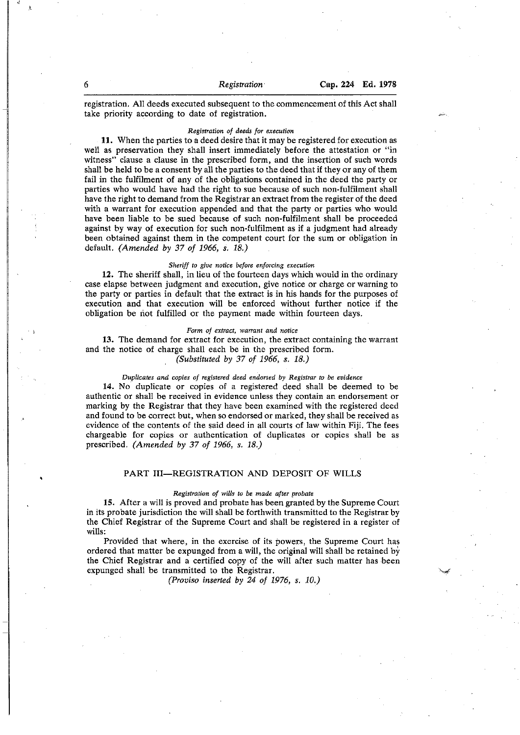| v | Registration | Cap. 224 | Ed. 1978 |
|---|--------------|----------|----------|
|   |              |          |          |

registration. All deeds executed subsequent to the commencement of this Act shall take priority according to date of registration.

#### *Registration of deeds for execution*

11. When the parties to a deed desire that it may be registered for execution as well as preservation they shall insert immediately before the attestation or "in **witness" clause a clause in the prescribed form, and the insertion of such words**  shall be held to be a consent by all the parties to the deed that if they or any of them fail in the fulfilment of any of the obligations contained in the deed the party or parties who would have had the right to sue because of such non-fulfilment shall have the right to demand from the Registrar an extract from the register of the deed with a warrant for execution appended and that the party or parties who would have been liable to be sued because of such non-fulfilment shall be proceeded against by way of execution for such non-fulfilment as if a judgment had already been obtained against them in the competent court for the sum or obligation in default. *(Amended by* 37 *of* 1966, *s. 18.)* 

#### *Sheriff* **to** *give notice before enforcing execution*

12. The sheriff shall, in lieu of the fourteen days which would in the ordinary **case elapse between judgment and execution, give notice or charge or warning to**  the party or parties in default that the extract is in his hands for the purposes of execution and that execution will be enforced without further notice if the obligation be riot fulfilled or the payment made within fourteen days.

#### *Form of extract, warrant and notice*

**13. The demand for extract for execution, the extract containing the warrant**  and the notice of charge shall each be in the prescribed form. *(Substituted by* 37 *of* 1966, *s. 18.)* 

### *Duplicates and copies of registered deed endorsed by Registrar to be evidence*

14. No duplicate or copies of a registered deed shall be deemed to be **authentic or shall be received in evidence unless they contain an endorsement or**  marking by the Registrar that they have been examined with the registered deed and found to be correct but, when so endorsed or marked, they shall be received as evidence of the contents of the said deed in all courts of law within Fiji. The fees chargeable for copies or authentication of duplicates or copies shall be as prescribed. *(Amended by* 37 *of* 1966, *s. 18.)* 

### PART III-REGISTRATION AND DEPOSIT OF WILLS

#### *Registration of wills to be made after probate*

15. After a will is proved and probate has been granted by the Supreme Court in its probate jurisdiction the will shall be forthwith transmitted to the Registrar by the Chief Registrar of the Supreme Court and shall be registered in a register of wills:

**Provided that where, in the exercise of its powers, the Supreme Court has**  ordered that matter be expunged from a will, the original will shall be retained by the Chief Registrar and a certified copy of the will after such matter has been expunged shall be transmitted to the Registrar.

*(Proviso inserted by* 24 *of* 1976, *s. 10.)*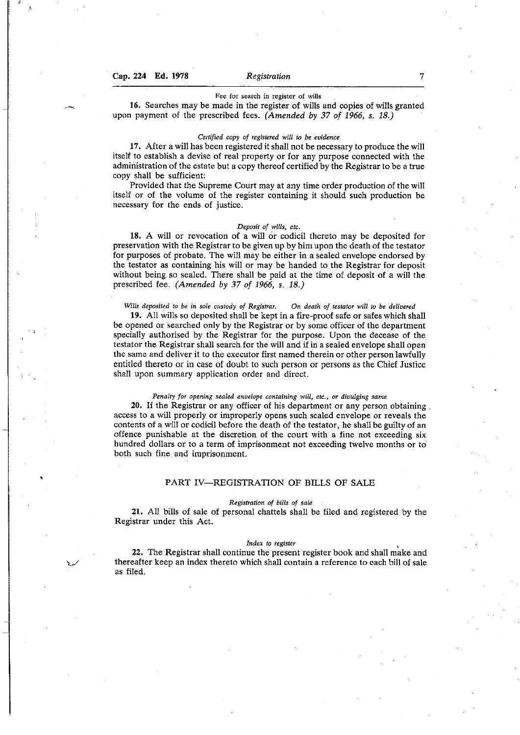· ,

**Fee for search in register of wills** 

16. Searches may be made in the register of wills and copies of wills granted upon payment of the prescribed fees. *(Amended by* 37 *of* 1966, s. 18.)

#### *Certified copy of registered will to be evidence*

17. After a will has been registered it shall not be necessary to produce the will itself to establish a devise of real property or for any purpose connected with the administration of the estate but a copy thereof certified by the Registrar to be a true copy shall be sufficient:

Provided that the Supreme Court may at any time order production of the will itself or of the volume of the register containing it should such production be necessary for the ends of justice.

### *Deposit of wills, etc.*

18. A will or revocation of a will or codicil thereto may be deposited for preservation with the Registrar to be given up by him upon the death of the testator for purposes of probate. The will may be either in a sealed envelope endorsed by the testator as containing his will or may be handed to the Registrar for deposit without being so sealed. There shall be paid at the time of deposit of a will the prescribed fee. *(Amended by* 37 *of* 1966, s. 18.)

*Wills deposited to be in sole custody of Registrar.* **On** *death of testator will to be delivered* 

19. All wills so deposited shall be kept in a fire-proof safe or safes which shall be opened or searched only by the Registrar or by some officer of the department specially authorised by the Registrar for the purpose. Upon the decease of the testator the Registrar shall search for the will and if in a sealed envelope shall open the same and deliver it to the executor first named therein or other person lawfully entitled thereto or in case of doubt to such person or persons as the Chief Justice shall upon summary application order and direct.

#### *Penalty for opening sealed envelope containing* **will,** *etc.,* **or** *divulging same*

20. If the Registrar or any officer of his department or any person obtaining access to a will properly or improperly opens such sealed envelope or reveals the contents of a will or codicil before the death of the testator, he shall be guilty of an offence punishable at the discretion of the court with a fine not exceeding six hundred dollars or to a term of imprisonment not exceeding twelve months or to both such fine and imprisonment.

#### PART IV-REGISTRATION OF BILLS OF SALE

#### *Registration of bills of sale*

21. All bills of sale of personal chattels shall be filed and registered by the Registrar under this Act.

#### *Index to register \*

22. The Registrar shall continue the present register book and shall make and thereafter keep an index thereto which shall contain a reference to each bill of sale as filed.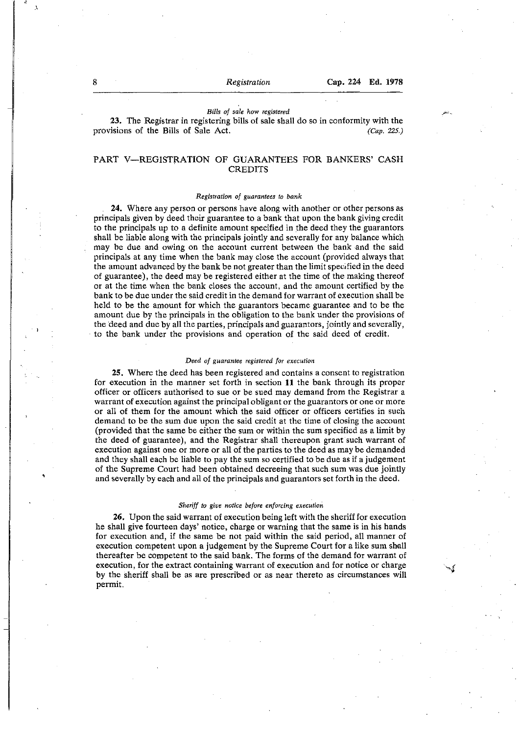#### *Bills of sale how registered*

23. The Registrar in registering bills of sale shall do so in conformity with the provisions of the Bills of Sale Act. *(Cap. 225.)* 

### PART V-REGISTRATION OF GUARANTEES FOR BANKERS' CASH **CREDITS**

#### *Registration of guarantees to bank*

**24.** Where any person or persons have along with another or other persons as principals given by deed their guarantee to a bank that upon the bank giving credit to the principals up to a definite amount specified in the deed they the guarantors shall be liable along with the principals jointly and severally for any balance which may be due and owing on the account current between the bank and the said principals at any time when the bank may close the account (provided always that the amount advanced by the bank be not greater than the limit specified in the deed of guarantee), the deed may be registered either at the time of the making thereof or at the time when the bank closes the account, and the amount certified by the bank to be due under the said credit in the demand for warrant of execution shall be held to be the amount for which the guarantors became guarantee and to be the amount due by the principals in the obligation to the bank under the provisions of the deed and due by all the parties, principals and guarantors, jointly and severally, . to the bank under the provisions and operation of the said deed of credit.

#### *Deed of guarantee registered for execution*

**25.** Where the deed has been registered and contains a consent to registration for execution in the manner set forth in section 11 the bank through its proper officer or officers authorised to sue or be sued may demand from the Registrar a **warrant of execution against the principal obligant or the guarantors or one or more**  or all of them for the amount which the said officer or officers certifies in such demand to be the sum due upon the said credit at the time of closing the account (provided that the same be either the sum or within the sum specified as a limit by the deed of guarantee), and the Registrar shall thereupon grant such warrant of execution against one or more or all of the parties to the deed as may be demanded and they shall each be liable to pay the sum so certified to be due as if a judgement of the Supreme Court had been obtained decreeing that such sum was due jointly and severally by each and all of the principals and guarantors set forth in the deed.

#### *Sheriff to give notice before enforcing execution*

**26.** Upon the said warrant of execution being left with the sheriff for execution he shall give fourteen days' notice, charge or warning that the same is in his hands for execution and, if the same be not paid within the said period, all manner of execution competent upon a judgement by the Supreme Court for a like sum shall thereafter be competent to the said bank. The forms of the demand for warrant of **execution, for the extract containing warrant of execution and for notice or charge**  by the sheriff shall be as are prescribed or as near thereto as circumstances will permit.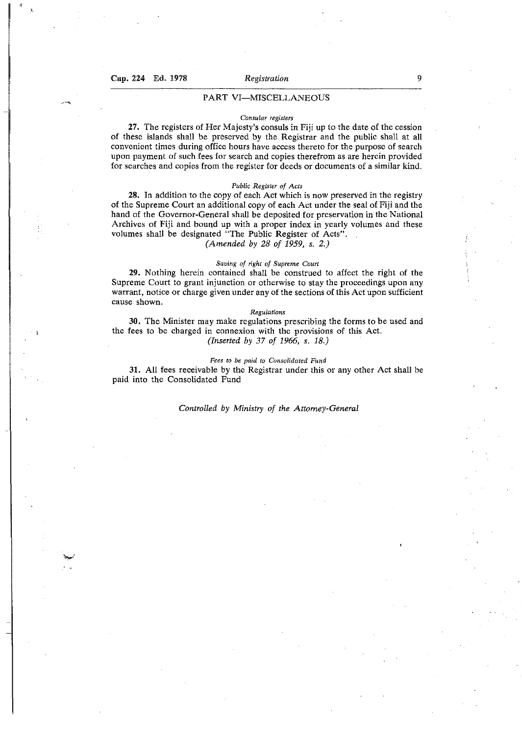.'.

### PART VI-MISCELLANEOUS

#### *Consular registers*

27. The registers of Her Majesty's consuls in Fiji up to the date of the cession of these islands shall be preserved by the Registrar and the public shall at all **convenient times during office hours have access thereto for the purpose of search**  upon payment of such fees for search and copies therefrom as are herein provided for searches and copies from the register for deeds or documents of a similar kind.

#### *Public Register of Acts*

28. In addition to the copy of each Act which is now preserved in the registry of the Supreme Court an additional copy of each Act under the seal of Fiji and the hand of the Governor-General shall be deposited for preservation in the National Archives of Fiji and bound up with a proper index in yearly volumes and these volumes shall be designated "The Public Register of Acts". *(Amended by* 28 *of* 1959, s. 2.)

#### *Saving of right of Supreme Court*

29. Nothing herein contained shall be construed to affect the right of the Supreme Court to grant injunction or otherwise to stay the proceedings upon any **warrant, notice or charge given under any of the sections of this Act upon sufficient cause shown.** 

### *Regulations*

30. The Minister may make regulations prescribing the forms to be used and the fees to be charged in connexion with the provisions of this Act. *(Inserted by* 37 *of* 1966, s. 18.)

#### *Fees to be paid to Consolidated Fund*

31. All fees receivable by the Registrar under this or any other Act shall be paid into the Consolidated Fund

#### *Controlled by Ministry of the Attorney-General*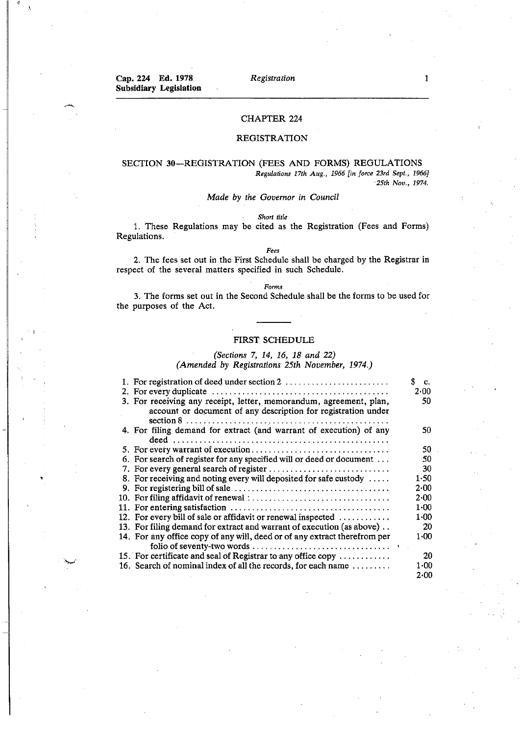Cap. 224 Ed. 1978 Subsidiary Legislation

 $\sim$ 

*Registration* 

### CHAPTER 224

### REGISTRATION

### SECTION 30-REGISTRATION (FEES AND FORMS) REGULATIONS *Regulations 17th Aug.,* **1966** *[in force 23rd Sept., 1966J*

*25th Nov., 1974.* 

1

### *Made by the Governor in Council*

#### *Short title*

1. These Regulations may be cited as the Registration (Fees and Forms) Regulations.

### *Fees*

2. The fees set out in the First Schedule shall be charged by the Registrar in respect of the several matters specified in such Schedule.

#### *Forms*

3. The forms set out in the Second Schedule shall be the forms to be used for the purposes of the Act.

### FIRST SCHEDULE

*(Sections* 7, 14, 16, 18 *and 22) (Amended by Registrations 25th November, 1974.)* 

|                                                                                                                                     | \$<br>c.<br>2.00 |
|-------------------------------------------------------------------------------------------------------------------------------------|------------------|
| 3. For receiving any receipt, letter, memorandum, agreement, plan,<br>account or document of any description for registration under | 50               |
| 4. For filing demand for extract (and warrant of execution) of any                                                                  | 50.              |
|                                                                                                                                     | 50               |
| 6. For search of register for any specified will or deed or document                                                                | -50              |
|                                                                                                                                     | 30               |
| 8. For receiving and noting every will deposited for safe custody                                                                   | $1-50$           |
|                                                                                                                                     | 2.00             |
|                                                                                                                                     | $2 - 00$         |
|                                                                                                                                     | $1 - 00$         |
| 12. For every bill of sale or affidavit or renewal inspected                                                                        | $1 - 00$         |
| 13. For filing demand for extract and warrant of execution (as above)                                                               | -20              |
| 14. For any office copy of any will, deed or of any extract therefrom per                                                           | $1-00$           |
|                                                                                                                                     |                  |
| 15. For certificate and seal of Registrar to any office copy                                                                        | 20               |
| 16. Search of nominal index of all the records, for each name                                                                       | 1.00             |
|                                                                                                                                     | 2.00             |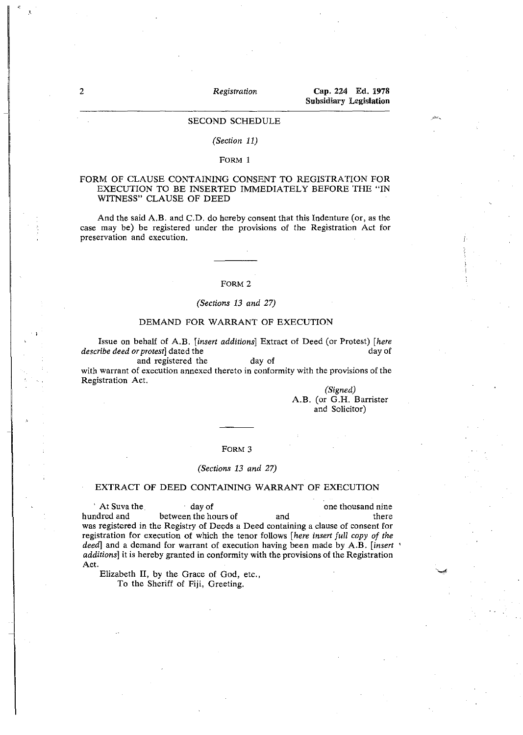2 *Registration* 

Cap. 224 Ed. 1978 Subsidiary Legislation

### SECOND SCHEDULE

### *(Section 11)*

### FORM 1

### FORM OF CLAUSE CONTAINING CONSENT TO REGISTRATION FOR EXECUTION TO BE INSERTED IMMEDIATELY BEFORE THE "IN WITNESS" CLAUSE OF DEED

And the said A.B. and C.D. do hereby consent that this Indenture (or, as the case may be) be registered under the provisions of the Registration Act for **preservation and execution.** 

### FORM 2

### *(Sections* 13 *and 27)*

### DEMAND FOR WARRANT OF EXECUTION

Issue on behalf of A.B. *[insert additions]* Extract of Deed (or Protest) *[here describe deed or protest*] dated the day of day of day of and registered the day of day of day of day of day of  $\frac{1}{2}$ 

and registered the **with warrant of execution annexed thereto in conformity with the provisions of the**  Registration Act.

> *(Signed)*  A.B. (or G.H. Barrister and Solicitor)

### FORM 3

### *(Sections* 13 *and 27)*

#### EXTRACT OF DEED CONTAINING WARRANT OF EXECUTION

At Suva the day of case one thousand nine<br>  $\frac{1}{2}$  and there the between the hours of and there hundred and between the hours of and was registered in the Registry of Deeds a Deed containing a clause of consent for registration for execution of which the tenor follows *[here insert full copy of the deed]* and a demand for warrant of execution having been made by A.B. *[insert additions]* it is hereby granted in conformity with the provisions of the Registration Act.

Elizabeth II, by the Grace of God, etc.,

To the Sheriff of Fiji, Greeting.

'.